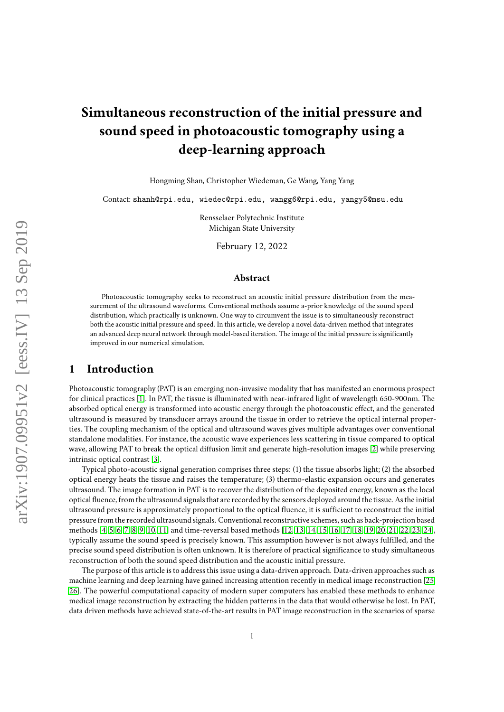# **Simultaneous reconstruction of the initial pressure and sound speed in photoacoustic tomography using a deep-learning approach**

Hongming Shan, Christopher Wiedeman, Ge Wang, Yang Yang

Contact: shanh@rpi.edu, wiedec@rpi.edu, wangg6@rpi.edu, yangy5@msu.edu

Rensselaer Polytechnic Institute Michigan State University

February 12, 2022

#### **Abstract**

Photoacoustic tomography seeks to reconstruct an acoustic initial pressure distribution from the measurement of the ultrasound waveforms. Conventional methods assume a-prior knowledge of the sound speed distribution, which practically is unknown. One way to circumvent the issue is to simultaneously reconstruct both the acoustic initial pressure and speed. In this article, we develop a novel data-driven method that integrates an advanced deep neural network through model-based iteration. The image of the initial pressure is significantly improved in our numerical simulation.

### **1 Introduction**

Photoacoustic tomography (PAT) is an emerging non-invasive modality that has manifested an enormous prospect for clinical practices [\[1\]](#page-7-0). In PAT, the tissue is illuminated with near-infrared light of wavelength 650-900nm. The absorbed optical energy is transformed into acoustic energy through the photoacoustic effect, and the generated ultrasound is measured by transducer arrays around the tissue in order to retrieve the optical internal properties. The coupling mechanism of the optical and ultrasound waves gives multiple advantages over conventional standalone modalities. For instance, the acoustic wave experiences less scattering in tissue compared to optical wave, allowing PAT to break the optical diffusion limit and generate high-resolution images [\[2\]](#page-7-1) while preserving intrinsic optical contrast [\[3\]](#page-7-2).

Typical photo-acoustic signal generation comprises three steps: (1) the tissue absorbs light; (2) the absorbed optical energy heats the tissue and raises the temperature; (3) thermo-elastic expansion occurs and generates ultrasound. The image formation in PAT is to recover the distribution of the deposited energy, known as the local optical fluence, from the ultrasound signals that are recorded by the sensors deployed around the tissue. As the initial ultrasound pressure is approximately proportional to the optical fluence, it is sufficient to reconstruct the initial pressure from the recorded ultrasound signals. Conventional reconstructive schemes, such as back-projection based methods [\[4,](#page-7-3) [5,](#page-7-4) [6,](#page-7-5) [7,](#page-7-6) [8,](#page-7-7) [9,](#page-7-8) [10,](#page-7-9) [11\]](#page-7-10) and time-reversal based methods [\[12,](#page-7-11) [13,](#page-8-0) [14,](#page-8-1) [15,](#page-8-2) [16,](#page-8-3) [17,](#page-8-4) [18,](#page-8-5) [19,](#page-8-6) [20,](#page-8-7) [21,](#page-8-8) [22,](#page-8-9) [23,](#page-8-10) [24\]](#page-8-11), typically assume the sound speed is precisely known. This assumption however is not always fulfilled, and the precise sound speed distribution is often unknown. It is therefore of practical significance to study simultaneous reconstruction of both the sound speed distribution and the acoustic initial pressure.

The purpose of this article is to address this issue using a data-driven approach. Data-driven approaches such as machine learning and deep learning have gained increasing attention recently in medical image reconstruction [\[25,](#page-8-12) [26\]](#page-8-13). The powerful computational capacity of modern super computers has enabled these methods to enhance medical image reconstruction by extracting the hidden patterns in the data that would otherwise be lost. In PAT, data driven methods have achieved state-of-the-art results in PAT image reconstruction in the scenarios of sparse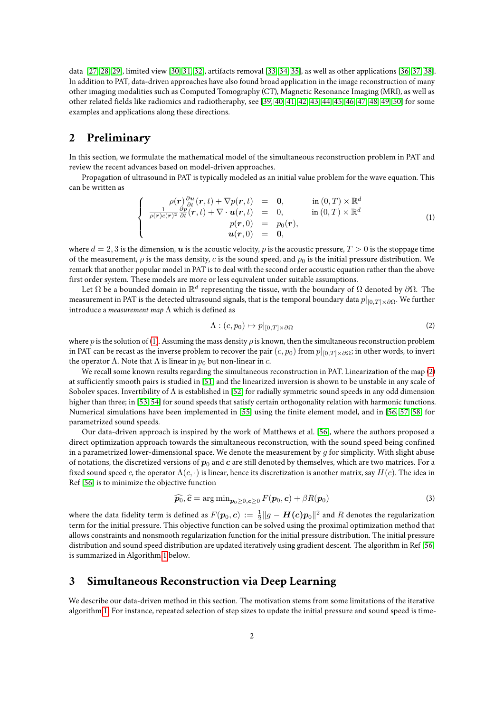data [\[27,](#page-8-14) [28,](#page-8-15) [29\]](#page-8-16), limited view [\[30,](#page-8-17) [31,](#page-8-18) [32\]](#page-9-0), artifacts removal [\[33,](#page-9-1) [34,](#page-9-2) [35\]](#page-9-3), as well as other applications [\[36,](#page-9-4) [37,](#page-9-5) [38\]](#page-9-6). In addition to PAT, data-driven approaches have also found broad application in the image reconstruction of many other imaging modalities such as Computed Tomography (CT), Magnetic Resonance Imaging (MRI), as well as other related fields like radiomics and radiotheraphy, see [\[39,](#page-9-7) [40,](#page-9-8) [41,](#page-9-9) [42,](#page-9-10) [43,](#page-9-11) [44,](#page-9-12) [45,](#page-9-13) [46,](#page-9-14) [47,](#page-9-15) [48,](#page-10-0) [49,](#page-10-1) [50\]](#page-10-2) for some examples and applications along these directions.

# **2 Preliminary**

In this section, we formulate the mathematical model of the simultaneous reconstruction problem in PAT and review the recent advances based on model-driven approaches.

Propagation of ultrasound in PAT is typically modeled as an initial value problem for the wave equation. This can be written as

<span id="page-1-0"></span>
$$
\begin{cases}\n\rho(\mathbf{r})\frac{\partial \mathbf{u}}{\partial t}(\mathbf{r},t) + \nabla p(\mathbf{r},t) &= \mathbf{0}, & \text{in } (0,T) \times \mathbb{R}^d \\
\frac{1}{\rho(\mathbf{r})c(\mathbf{r})^2}\frac{\partial p}{\partial t}(\mathbf{r},t) + \nabla \cdot \mathbf{u}(\mathbf{r},t) &= 0, & \text{in } (0,T) \times \mathbb{R}^d \\
p(\mathbf{r},0) &= p_0(\mathbf{r}), & \mathbf{u}(\mathbf{r},0) &= \mathbf{0},\n\end{cases}
$$
\n(1)

where  $d = 2, 3$  is the dimension,  $\boldsymbol{u}$  is the acoustic velocity, p is the acoustic pressure,  $T > 0$  is the stoppage time of the measurement,  $\rho$  is the mass density,  $c$  is the sound speed, and  $p_0$  is the initial pressure distribution. We remark that another popular model in PAT is to deal with the second order acoustic equation rather than the above first order system. These models are more or less equivalent under suitable assumptions.

Let Ω be a bounded domain in R *d* representing the tissue, with the boundary of Ω denoted by *∂*Ω. The measurement in PAT is the detected ultrasound signals, that is the temporal boundary data *p*|[0*,T*]×*∂*Ω. We further introduce a *measurement map* Λ which is defined as

<span id="page-1-1"></span>
$$
\Lambda : (c, p_0) \mapsto p|_{[0, T] \times \partial \Omega} \tag{2}
$$

where *p* is the solution of [\(1\)](#page-1-0). Assuming the mass density  $\rho$  is known, then the simultaneous reconstruction problem in PAT can be recast as the inverse problem to recover the pair  $(c, p_0)$  from  $p|_{[0,T]\times\partial\Omega}$ ; in other words, to invert the operator  $\Lambda$ . Note that  $\Lambda$  is linear in *p*<sub>0</sub> but non-linear in *c*.

We recall some known results regarding the simultaneous reconstruction in PAT. Linearization of the map [\(2\)](#page-1-1) at sufficiently smooth pairs is studied in [\[51\]](#page-10-3) and the linearized inversion is shown to be unstable in any scale of Sobolev spaces. Invertibility of  $\Lambda$  is established in [\[52\]](#page-10-4) for radially symmetric sound speeds in any odd dimension higher than three; in [\[53,](#page-10-5) [54\]](#page-10-6) for sound speeds that satisfy certain orthogonality relation with harmonic functions. Numerical simulations have been implemented in [\[55\]](#page-10-7) using the finite element model, and in [\[56,](#page-10-8) [57,](#page-10-9) [58\]](#page-10-10) for parametrized sound speeds.

Our data-driven approach is inspired by the work of Matthews et al. [\[56\]](#page-10-8), where the authors proposed a direct optimization approach towards the simultaneous reconstruction, with the sound speed being confined in a parametrized lower-dimensional space. We denote the measurement by *g* for simplicity. With slight abuse of notations, the discretized versions of  $p_0$  and  $c$  are still denoted by themselves, which are two matrices. For a fixed sound speed *c*, the operator  $\Lambda(c, \cdot)$  is linear, hence its discretization is another matrix, say  $H(c)$ . The idea in Ref [\[56\]](#page-10-8) is to minimize the objective function

$$
\widehat{\boldsymbol{p}_0}, \widehat{\boldsymbol{c}} = \arg \min_{\boldsymbol{p}_0 \ge 0, \boldsymbol{c} \ge 0} F(\boldsymbol{p}_0, \boldsymbol{c}) + \beta R(\boldsymbol{p}_0)
$$
\n(3)

where the data fidelity term is defined as  $F(\bm p_0, \bm c)\,:=\, \frac{1}{2}\|g-\bm H(\bm c)\bm p_0\|^2$  and  $R$  denotes the regularization term for the initial pressure. This objective function can be solved using the proximal optimization method that allows constraints and nonsmooth regularization function for the initial pressure distribution. The initial pressure distribution and sound speed distribution are updated iteratively using gradient descent. The algorithm in Ref [\[56\]](#page-10-8) is summarized in Algorithm [1](#page-2-0) below.

## **3 Simultaneous Reconstruction via Deep Learning**

We describe our data-driven method in this section. The motivation stems from some limitations of the iterative algorithm [1.](#page-2-0) For instance, repeated selection of step sizes to update the initial pressure and sound speed is time-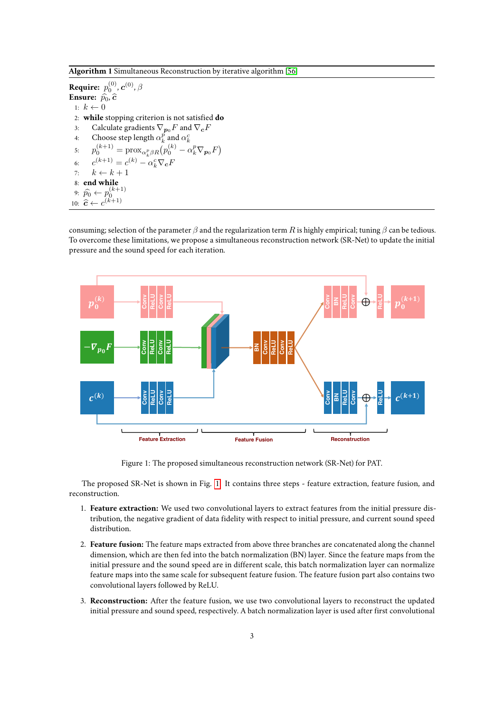<span id="page-2-0"></span>**Algorithm 1** Simultaneous Reconstruction by iterative algorithm [\[56\]](#page-10-8)

**Require:**  $p_0^{(0)}, \boldsymbol{c}^{(0)}, \beta$ **Ensure:**  $\widehat{p}_0$ ,  $\widehat{c}$ <br>**1.**  $k \leftarrow 0$ 1:  $k \leftarrow 0$ 2: **while** stopping criterion is not satisfied **do** 3: Calculate gradients  $\nabla_{\bm p_0} F$  and  $\nabla_{\bm c} F$ 4: Choose step length  $\alpha_k^p$  and  $\alpha_k^c$  $p_0^{(k+1)} = \text{prox}_{\alpha_k^p \beta R} (p_0^{(k)} - \alpha_k^p \nabla_{\boldsymbol{p}_0} F)$ 6:  $c^{(k+1)} = c^{(k)} - \alpha_k^c \nabla_c F$ 7:  $k \leftarrow k + 1$ 8: **end while** 9:  $\widehat{p}_0 \leftarrow p_0^{(k+1)}$ <br>0:  $\widehat{a} \leftarrow e^{(k+1)}$ 10:  $\hat{\mathbf{c}} \leftarrow c^{(k+1)}$ 

consuming; selection of the parameter *β* and the regularization term *R* is highly empirical; tuning *β* can be tedious. To overcome these limitations, we propose a simultaneous reconstruction network (SR-Net) to update the initial pressure and the sound speed for each iteration.

<span id="page-2-1"></span>

Figure 1: The proposed simultaneous reconstruction network (SR-Net) for PAT.

The proposed SR-Net is shown in Fig. [1.](#page-2-1) It contains three steps - feature extraction, feature fusion, and reconstruction.

- 1. **Feature extraction:** We used two convolutional layers to extract features from the initial pressure distribution, the negative gradient of data fidelity with respect to initial pressure, and current sound speed distribution.
- 2. **Feature fusion:** The feature maps extracted from above three branches are concatenated along the channel dimension, which are then fed into the batch normalization (BN) layer. Since the feature maps from the initial pressure and the sound speed are in different scale, this batch normalization layer can normalize feature maps into the same scale for subsequent feature fusion. The feature fusion part also contains two convolutional layers followed by ReLU.
- 3. **Reconstruction:** After the feature fusion, we use two convolutional layers to reconstruct the updated initial pressure and sound speed, respectively. A batch normalization layer is used after first convolutional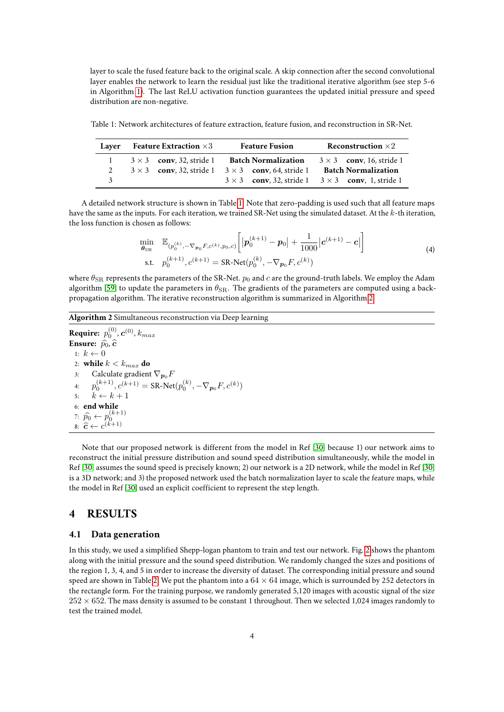layer to scale the fused feature back to the original scale. A skip connection after the second convolutional layer enables the network to learn the residual just like the traditional iterative algorithm (see step 5-6 in Algorithm [1\)](#page-2-0). The last ReLU activation function guarantees the updated initial pressure and speed distribution are non-negative.

<span id="page-3-0"></span>Table 1: Network architectures of feature extraction, feature fusion, and reconstruction in SR-Net.

| <b>Laver</b> | Feature Extraction $\times3$ |                                                                 | <b>Feature Fusion</b> |                                                                | Reconstruction $\times 2$ |                                 |
|--------------|------------------------------|-----------------------------------------------------------------|-----------------------|----------------------------------------------------------------|---------------------------|---------------------------------|
|              |                              |                                                                 |                       | $3 \times 3$ conv, 32, stride 1 Batch Normalization            |                           | $3 \times 3$ conv, 16, stride 1 |
| 2            |                              | $3 \times 3$ conv, 32, stride 1 $3 \times 3$ conv, 64, stride 1 |                       |                                                                |                           | <b>Batch Normalization</b>      |
| 2            |                              |                                                                 |                       | $3 \times 3$ conv, 32, stride 1 $3 \times 3$ conv, 1, stride 1 |                           |                                 |

A detailed network structure is shown in Table [1.](#page-3-0) Note that zero-padding is used such that all feature maps have the same as the inputs. For each iteration, we trained SR-Net using the simulated dataset. At the *k*-th iteration, the loss function is chosen as follows:

$$
\min_{\boldsymbol{\theta}_{\text{SR}}} \mathbb{E}_{(p_0^{(k)}, -\nabla_{\boldsymbol{p}_0} F, c^{(k)}, p_0, c)} \left[ |\boldsymbol{p}_0^{(k+1)} - \boldsymbol{p}_0| + \frac{1}{1000} |\boldsymbol{c}^{(k+1)} - \boldsymbol{c}| \right]
$$
\n
$$
\text{s.t.} \quad p_0^{(k+1)}, c^{(k+1)} = \text{SR-Net}(p_0^{(k)}, -\nabla_{\boldsymbol{p}_0} F, c^{(k)})
$$
\n
$$
(4)
$$

where  $θ_{\rm SR}$  represents the parameters of the SR-Net. *p*<sub>0</sub> and *c* are the ground-truth labels. We employ the Adam algorithm [\[59\]](#page-10-11) to update the parameters in  $\theta_{\rm SR}$ . The gradients of the parameters are computed using a backpropagation algorithm. The iterative reconstruction algorithm is summarized in Algorithm [2.](#page-3-1)

#### <span id="page-3-1"></span>**Algorithm 2** Simultaneous reconstruction via Deep learning

**Require:** *p* (0) 0 , *c* (0) , *kmax* **Ensure:**  $\hat{p}_0$ ,  $\hat{c}$ 1:  $k \leftarrow 0$ 2: **while**  $k < k_{max}$  **do** 3: Calculate gradient  $\nabla_{\boldsymbol{p}_0} F$ 4:  $p_0^{(k+1)}, c^{(k+1)} = \text{SR-Net}(p_0^{(k)}, -\nabla_{p_0} F, c^{(k)})$ 5:  $k \leftarrow k+1$ 6: **end while** 7:  $\widehat{p}_0 \leftarrow p_0^{(k+1)}$ <br>
9:  $\widehat{q}_0 \leftarrow q^{(k+1)}$ 8:  $\hat{\mathbf{c}} \leftarrow c^{(k+1)}$ 

Note that our proposed network is different from the model in Ref [\[30\]](#page-8-17) because 1) our network aims to reconstruct the initial pressure distribution and sound speed distribution simultaneously, while the model in Ref [\[30\]](#page-8-17) assumes the sound speed is precisely known; 2) our network is a 2D network, while the model in Ref [\[30\]](#page-8-17) is a 3D network; and 3) the proposed network used the batch normalization layer to scale the feature maps, while the model in Ref [\[30\]](#page-8-17) used an explicit coefficient to represent the step length.

### **4 RESULTS**

#### **4.1 Data generation**

In this study, we used a simplified Shepp-logan phantom to train and test our network. Fig. [2](#page-4-0) shows the phantom along with the initial pressure and the sound speed distribution. We randomly changed the sizes and positions of the region 1, 3, 4, and 5 in order to increase the diversity of dataset. The corresponding initial pressure and sound speed are shown in Table [2.](#page-4-1) We put the phantom into a  $64 \times 64$  image, which is surrounded by 252 detectors in the rectangle form. For the training purpose, we randomly generated 5,120 images with acoustic signal of the size  $252 \times 652$ . The mass density is assumed to be constant 1 throughout. Then we selected 1,024 images randomly to test the trained model.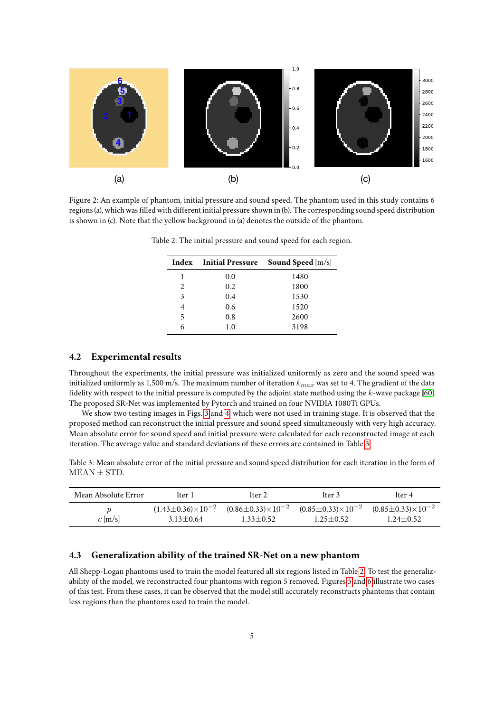<span id="page-4-0"></span>

<span id="page-4-1"></span>Figure 2: An example of phantom, initial pressure and sound speed. The phantom used in this study contains 6 regions (a), which was filled with different initial pressure shown in (b). The corresponding sound speed distribution is shown in (c). Note that the yellow background in (a) denotes the outside of the phantom.

|   | <b>Index</b> Initial Pressure | Sound Speed $[m/s]$ |
|---|-------------------------------|---------------------|
|   | 0.0                           | 1480                |
| 2 | 0.2                           | 1800                |
| 3 | 0.4                           | 1530                |
| 4 | 0.6                           | 1520                |
| 5 | 0.8                           | 2600                |
| 6 | 1.0                           | 3198                |

Table 2: The initial pressure and sound speed for each region.

#### **4.2 Experimental results**

Throughout the experiments, the initial pressure was initialized uniformly as zero and the sound speed was initialized uniformly as 1,500 m/s. The maximum number of iteration *kmax* was set to 4. The gradient of the data fidelity with respect to the initial pressure is computed by the adjoint state method using the *k*-wave package [\[60\]](#page-10-12). The proposed SR-Net was implemented by Pytorch and trained on four NVIDIA 1080Ti GPUs.

We show two testing images in Figs. [3](#page-5-0) and [4,](#page-5-1) which were not used in training stage. It is observed that the proposed method can reconstruct the initial pressure and sound speed simultaneously with very high accuracy. Mean absolute error for sound speed and initial pressure were calculated for each reconstructed image at each iteration. The average value and standard deviations of these errors are contained in Table [3.](#page-4-2)

<span id="page-4-2"></span>Table 3: Mean absolute error of the initial pressure and sound speed distribution for each iteration in the form of  $MEAN \pm STD$ .

| Mean Absolute Error | Iter 1                       | Iter $2$                         | Iter 3                           | Iter 4                           |
|---------------------|------------------------------|----------------------------------|----------------------------------|----------------------------------|
| $c \, [\text{m/s}]$ | $(1.43\pm0.36)\times10^{-2}$ | $(0.86 \pm 0.33) \times 10^{-2}$ | $(0.85 \pm 0.33) \times 10^{-2}$ | $(0.85 \pm 0.33) \times 10^{-2}$ |
|                     | $3.13 + 0.64$                | $1.33 + 0.52$                    | $1.25 + 0.52$                    | $1.24 + 0.52$                    |

#### **4.3 Generalization ability of the trained SR-Net on a new phantom**

All Shepp-Logan phantoms used to train the model featured all six regions listed in Table [2.](#page-4-1) To test the generalizability of the model, we reconstructed four phantoms with region 5 removed. Figures [5](#page-6-0) and [6](#page-6-1) illustrate two cases of this test. From these cases, it can be observed that the model still accurately reconstructs phantoms that contain less regions than the phantoms used to train the model.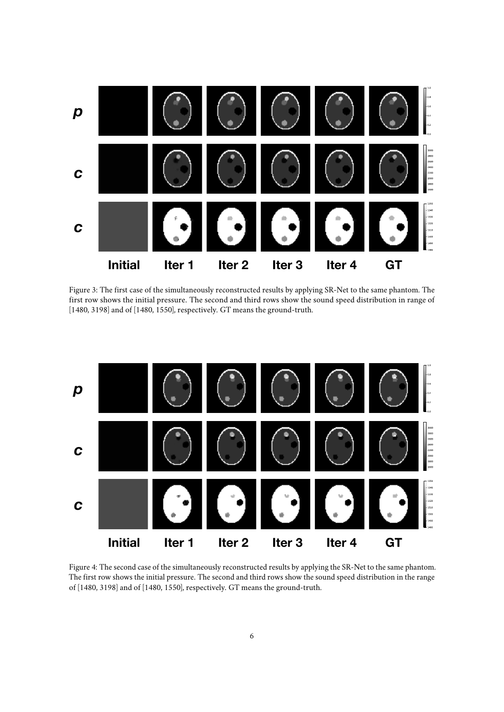<span id="page-5-0"></span>

Figure 3: The first case of the simultaneously reconstructed results by applying SR-Net to the same phantom. The first row shows the initial pressure. The second and third rows show the sound speed distribution in range of [1480, 3198] and of [1480, 1550], respectively. GT means the ground-truth.

<span id="page-5-1"></span>

Figure 4: The second case of the simultaneously reconstructed results by applying the SR-Net to the same phantom. The first row shows the initial pressure. The second and third rows show the sound speed distribution in the range of [1480, 3198] and of [1480, 1550], respectively. GT means the ground-truth.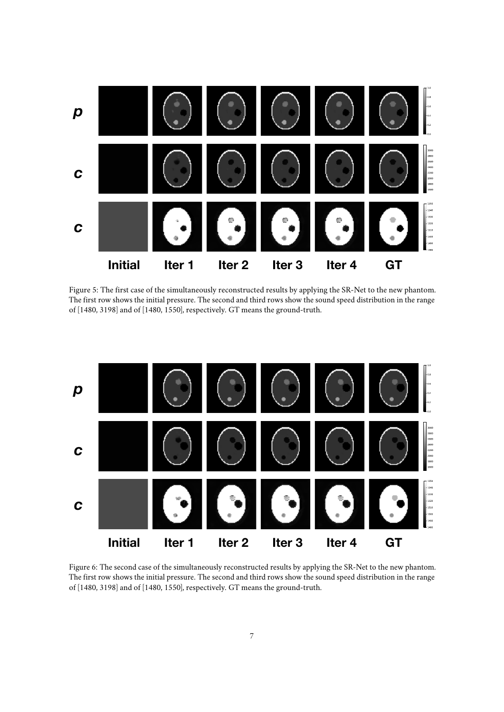<span id="page-6-0"></span>

Figure 5: The first case of the simultaneously reconstructed results by applying the SR-Net to the new phantom. The first row shows the initial pressure. The second and third rows show the sound speed distribution in the range of [1480, 3198] and of [1480, 1550], respectively. GT means the ground-truth.

<span id="page-6-1"></span>

Figure 6: The second case of the simultaneously reconstructed results by applying the SR-Net to the new phantom. The first row shows the initial pressure. The second and third rows show the sound speed distribution in the range of [1480, 3198] and of [1480, 1550], respectively. GT means the ground-truth.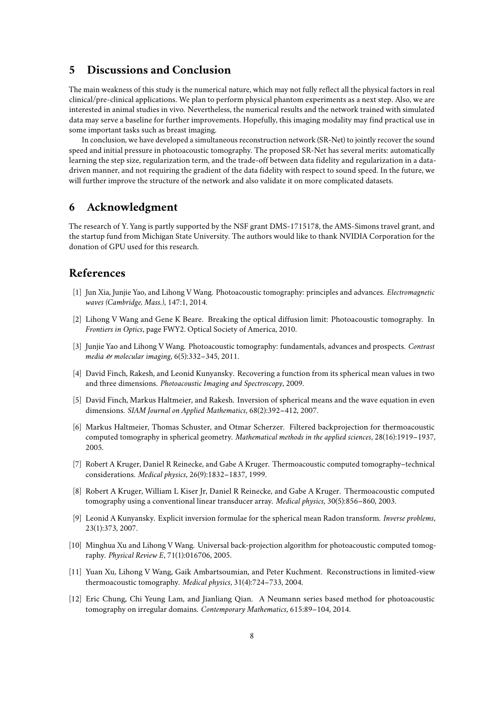### **5 Discussions and Conclusion**

The main weakness of this study is the numerical nature, which may not fully reflect all the physical factors in real clinical/pre-clinical applications. We plan to perform physical phantom experiments as a next step. Also, we are interested in animal studies in vivo. Nevertheless, the numerical results and the network trained with simulated data may serve a baseline for further improvements. Hopefully, this imaging modality may find practical use in some important tasks such as breast imaging.

In conclusion, we have developed a simultaneous reconstruction network (SR-Net) to jointly recover the sound speed and initial pressure in photoacoustic tomography. The proposed SR-Net has several merits: automatically learning the step size, regularization term, and the trade-off between data fidelity and regularization in a datadriven manner, and not requiring the gradient of the data fidelity with respect to sound speed. In the future, we will further improve the structure of the network and also validate it on more complicated datasets.

### **6 Acknowledgment**

The research of Y. Yang is partly supported by the NSF grant DMS-1715178, the AMS-Simons travel grant, and the startup fund from Michigan State University. The authors would like to thank NVIDIA Corporation for the donation of GPU used for this research.

## **References**

- <span id="page-7-0"></span>[1] Jun Xia, Junjie Yao, and Lihong V Wang. Photoacoustic tomography: principles and advances. *Electromagnetic waves (Cambridge, Mass.)*, 147:1, 2014.
- <span id="page-7-1"></span>[2] Lihong V Wang and Gene K Beare. Breaking the optical diffusion limit: Photoacoustic tomography. In *Frontiers in Optics*, page FWY2. Optical Society of America, 2010.
- <span id="page-7-2"></span>[3] Junjie Yao and Lihong V Wang. Photoacoustic tomography: fundamentals, advances and prospects. *Contrast media & molecular imaging*, 6(5):332–345, 2011.
- <span id="page-7-3"></span>[4] David Finch, Rakesh, and Leonid Kunyansky. Recovering a function from its spherical mean values in two and three dimensions. *Photoacoustic Imaging and Spectroscopy*, 2009.
- <span id="page-7-4"></span>[5] David Finch, Markus Haltmeier, and Rakesh. Inversion of spherical means and the wave equation in even dimensions. *SIAM Journal on Applied Mathematics*, 68(2):392–412, 2007.
- <span id="page-7-5"></span>[6] Markus Haltmeier, Thomas Schuster, and Otmar Scherzer. Filtered backprojection for thermoacoustic computed tomography in spherical geometry. *Mathematical methods in the applied sciences*, 28(16):1919–1937, 2005.
- <span id="page-7-6"></span>[7] Robert A Kruger, Daniel R Reinecke, and Gabe A Kruger. Thermoacoustic computed tomography–technical considerations. *Medical physics*, 26(9):1832–1837, 1999.
- <span id="page-7-7"></span>[8] Robert A Kruger, William L Kiser Jr, Daniel R Reinecke, and Gabe A Kruger. Thermoacoustic computed tomography using a conventional linear transducer array. *Medical physics*, 30(5):856–860, 2003.
- <span id="page-7-8"></span>[9] Leonid A Kunyansky. Explicit inversion formulae for the spherical mean Radon transform. *Inverse problems*, 23(1):373, 2007.
- <span id="page-7-9"></span>[10] Minghua Xu and Lihong V Wang. Universal back-projection algorithm for photoacoustic computed tomography. *Physical Review E*, 71(1):016706, 2005.
- <span id="page-7-10"></span>[11] Yuan Xu, Lihong V Wang, Gaik Ambartsoumian, and Peter Kuchment. Reconstructions in limited-view thermoacoustic tomography. *Medical physics*, 31(4):724–733, 2004.
- <span id="page-7-11"></span>[12] Eric Chung, Chi Yeung Lam, and Jianliang Qian. A Neumann series based method for photoacoustic tomography on irregular domains. *Contemporary Mathematics*, 615:89–104, 2014.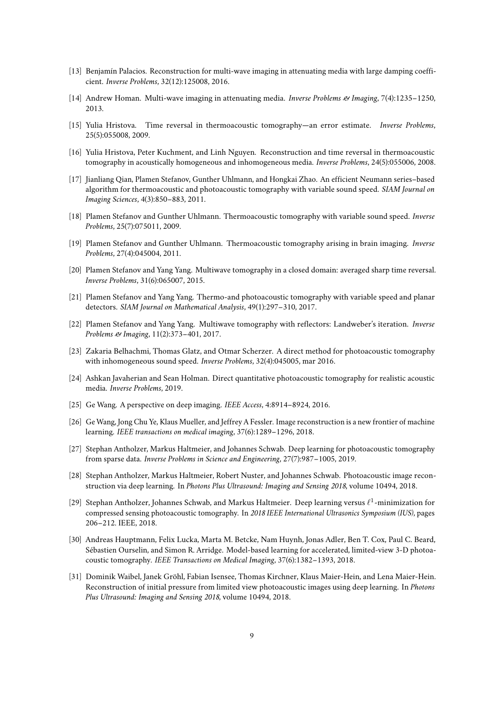- <span id="page-8-0"></span>[13] Benjamín Palacios. Reconstruction for multi-wave imaging in attenuating media with large damping coefficient. *Inverse Problems*, 32(12):125008, 2016.
- <span id="page-8-1"></span>[14] Andrew Homan. Multi-wave imaging in attenuating media. *Inverse Problems & Imaging*, 7(4):1235–1250, 2013.
- <span id="page-8-2"></span>[15] Yulia Hristova. Time reversal in thermoacoustic tomography—an error estimate. *Inverse Problems*, 25(5):055008, 2009.
- <span id="page-8-3"></span>[16] Yulia Hristova, Peter Kuchment, and Linh Nguyen. Reconstruction and time reversal in thermoacoustic tomography in acoustically homogeneous and inhomogeneous media. *Inverse Problems*, 24(5):055006, 2008.
- <span id="page-8-4"></span>[17] Jianliang Qian, Plamen Stefanov, Gunther Uhlmann, and Hongkai Zhao. An efficient Neumann series–based algorithm for thermoacoustic and photoacoustic tomography with variable sound speed. *SIAM Journal on Imaging Sciences*, 4(3):850–883, 2011.
- <span id="page-8-5"></span>[18] Plamen Stefanov and Gunther Uhlmann. Thermoacoustic tomography with variable sound speed. *Inverse Problems*, 25(7):075011, 2009.
- <span id="page-8-6"></span>[19] Plamen Stefanov and Gunther Uhlmann. Thermoacoustic tomography arising in brain imaging. *Inverse Problems*, 27(4):045004, 2011.
- <span id="page-8-7"></span>[20] Plamen Stefanov and Yang Yang. Multiwave tomography in a closed domain: averaged sharp time reversal. *Inverse Problems*, 31(6):065007, 2015.
- <span id="page-8-8"></span>[21] Plamen Stefanov and Yang Yang. Thermo-and photoacoustic tomography with variable speed and planar detectors. *SIAM Journal on Mathematical Analysis*, 49(1):297–310, 2017.
- <span id="page-8-9"></span>[22] Plamen Stefanov and Yang Yang. Multiwave tomography with reflectors: Landweber's iteration. *Inverse Problems & Imaging*, 11(2):373–401, 2017.
- <span id="page-8-10"></span>[23] Zakaria Belhachmi, Thomas Glatz, and Otmar Scherzer. A direct method for photoacoustic tomography with inhomogeneous sound speed. *Inverse Problems*, 32(4):045005, mar 2016.
- <span id="page-8-11"></span>[24] Ashkan Javaherian and Sean Holman. Direct quantitative photoacoustic tomography for realistic acoustic media. *Inverse Problems*, 2019.
- <span id="page-8-12"></span>[25] Ge Wang. A perspective on deep imaging. *IEEE Access*, 4:8914–8924, 2016.
- <span id="page-8-13"></span>[26] Ge Wang, Jong Chu Ye, Klaus Mueller, and Jeffrey A Fessler. Image reconstruction is a new frontier of machine learning. *IEEE transactions on medical imaging*, 37(6):1289–1296, 2018.
- <span id="page-8-14"></span>[27] Stephan Antholzer, Markus Haltmeier, and Johannes Schwab. Deep learning for photoacoustic tomography from sparse data. *Inverse Problems in Science and Engineering*, 27(7):987–1005, 2019.
- <span id="page-8-15"></span>[28] Stephan Antholzer, Markus Haltmeier, Robert Nuster, and Johannes Schwab. Photoacoustic image reconstruction via deep learning. In *Photons Plus Ultrasound: Imaging and Sensing 2018*, volume 10494, 2018.
- <span id="page-8-16"></span>[29] Stephan Antholzer, Johannes Schwab, and Markus Haltmeier. Deep learning versus  $\ell^1$ -minimization for compressed sensing photoacoustic tomography. In *2018 IEEE International Ultrasonics Symposium (IUS)*, pages 206–212. IEEE, 2018.
- <span id="page-8-17"></span>[30] Andreas Hauptmann, Felix Lucka, Marta M. Betcke, Nam Huynh, Jonas Adler, Ben T. Cox, Paul C. Beard, Sébastien Ourselin, and Simon R. Arridge. Model-based learning for accelerated, limited-view 3-D photoacoustic tomography. *IEEE Transactions on Medical Imaging*, 37(6):1382–1393, 2018.
- <span id="page-8-18"></span>[31] Dominik Waibel, Janek Gröhl, Fabian Isensee, Thomas Kirchner, Klaus Maier-Hein, and Lena Maier-Hein. Reconstruction of initial pressure from limited view photoacoustic images using deep learning. In *Photons Plus Ultrasound: Imaging and Sensing 2018*, volume 10494, 2018.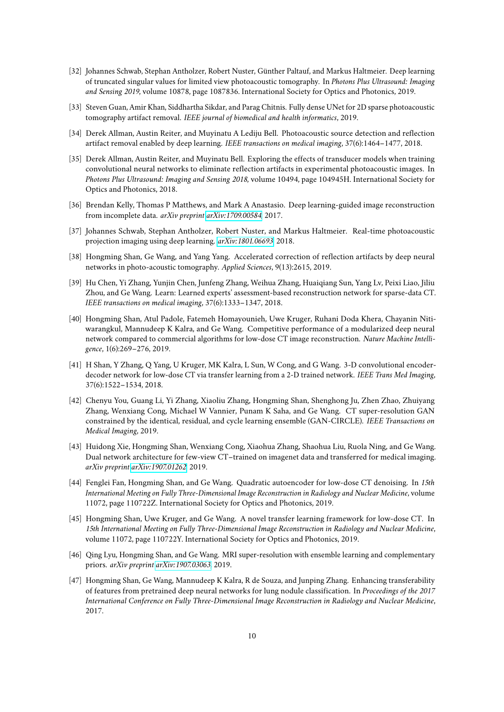- <span id="page-9-0"></span>[32] Johannes Schwab, Stephan Antholzer, Robert Nuster, Günther Paltauf, and Markus Haltmeier. Deep learning of truncated singular values for limited view photoacoustic tomography. In *Photons Plus Ultrasound: Imaging and Sensing 2019*, volume 10878, page 1087836. International Society for Optics and Photonics, 2019.
- <span id="page-9-1"></span>[33] Steven Guan, Amir Khan, Siddhartha Sikdar, and Parag Chitnis. Fully dense UNet for 2D sparse photoacoustic tomography artifact removal. *IEEE journal of biomedical and health informatics*, 2019.
- <span id="page-9-2"></span>[34] Derek Allman, Austin Reiter, and Muyinatu A Lediju Bell. Photoacoustic source detection and reflection artifact removal enabled by deep learning. *IEEE transactions on medical imaging*, 37(6):1464–1477, 2018.
- <span id="page-9-3"></span>[35] Derek Allman, Austin Reiter, and Muyinatu Bell. Exploring the effects of transducer models when training convolutional neural networks to eliminate reflection artifacts in experimental photoacoustic images. In *Photons Plus Ultrasound: Imaging and Sensing 2018*, volume 10494, page 104945H. International Society for Optics and Photonics, 2018.
- <span id="page-9-4"></span>[36] Brendan Kelly, Thomas P Matthews, and Mark A Anastasio. Deep learning-guided image reconstruction from incomplete data. *arXiv preprint [arXiv:1709.00584](http://arxiv.org/abs/1709.00584)*, 2017.
- <span id="page-9-5"></span>[37] Johannes Schwab, Stephan Antholzer, Robert Nuster, and Markus Haltmeier. Real-time photoacoustic projection imaging using deep learning. *[arXiv:1801.06693](http://arxiv.org/abs/1801.06693)*, 2018.
- <span id="page-9-6"></span>[38] Hongming Shan, Ge Wang, and Yang Yang. Accelerated correction of reflection artifacts by deep neural networks in photo-acoustic tomography. *Applied Sciences*, 9(13):2615, 2019.
- <span id="page-9-7"></span>[39] Hu Chen, Yi Zhang, Yunjin Chen, Junfeng Zhang, Weihua Zhang, Huaiqiang Sun, Yang Lv, Peixi Liao, Jiliu Zhou, and Ge Wang. Learn: Learned experts' assessment-based reconstruction network for sparse-data CT. *IEEE transactions on medical imaging*, 37(6):1333–1347, 2018.
- <span id="page-9-8"></span>[40] Hongming Shan, Atul Padole, Fatemeh Homayounieh, Uwe Kruger, Ruhani Doda Khera, Chayanin Nitiwarangkul, Mannudeep K Kalra, and Ge Wang. Competitive performance of a modularized deep neural network compared to commercial algorithms for low-dose CT image reconstruction. *Nature Machine Intelligence*, 1(6):269–276, 2019.
- <span id="page-9-9"></span>[41] H Shan, Y Zhang, Q Yang, U Kruger, MK Kalra, L Sun, W Cong, and G Wang. 3-D convolutional encoderdecoder network for low-dose CT via transfer learning from a 2-D trained network. *IEEE Trans Med Imaging*, 37(6):1522–1534, 2018.
- <span id="page-9-10"></span>[42] Chenyu You, Guang Li, Yi Zhang, Xiaoliu Zhang, Hongming Shan, Shenghong Ju, Zhen Zhao, Zhuiyang Zhang, Wenxiang Cong, Michael W Vannier, Punam K Saha, and Ge Wang. CT super-resolution GAN constrained by the identical, residual, and cycle learning ensemble (GAN-CIRCLE). *IEEE Transactions on Medical Imaging*, 2019.
- <span id="page-9-11"></span>[43] Huidong Xie, Hongming Shan, Wenxiang Cong, Xiaohua Zhang, Shaohua Liu, Ruola Ning, and Ge Wang. Dual network architecture for few-view CT–trained on imagenet data and transferred for medical imaging. *arXiv preprint [arXiv:1907.01262](http://arxiv.org/abs/1907.01262)*, 2019.
- <span id="page-9-12"></span>[44] Fenglei Fan, Hongming Shan, and Ge Wang. Quadratic autoencoder for low-dose CT denoising. In *15th International Meeting on Fully Three-Dimensional Image Reconstruction in Radiology and Nuclear Medicine*, volume 11072, page 110722Z. International Society for Optics and Photonics, 2019.
- <span id="page-9-13"></span>[45] Hongming Shan, Uwe Kruger, and Ge Wang. A novel transfer learning framework for low-dose CT. In *15th International Meeting on Fully Three-Dimensional Image Reconstruction in Radiology and Nuclear Medicine*, volume 11072, page 110722Y. International Society for Optics and Photonics, 2019.
- <span id="page-9-14"></span>[46] Qing Lyu, Hongming Shan, and Ge Wang. MRI super-resolution with ensemble learning and complementary priors. *arXiv preprint [arXiv:1907.03063](http://arxiv.org/abs/1907.03063)*, 2019.
- <span id="page-9-15"></span>[47] Hongming Shan, Ge Wang, Mannudeep K Kalra, R de Souza, and Junping Zhang. Enhancing transferability of features from pretrained deep neural networks for lung nodule classification. In *Proceedings of the 2017 International Conference on Fully Three-Dimensional Image Reconstruction in Radiology and Nuclear Medicine*, 2017.